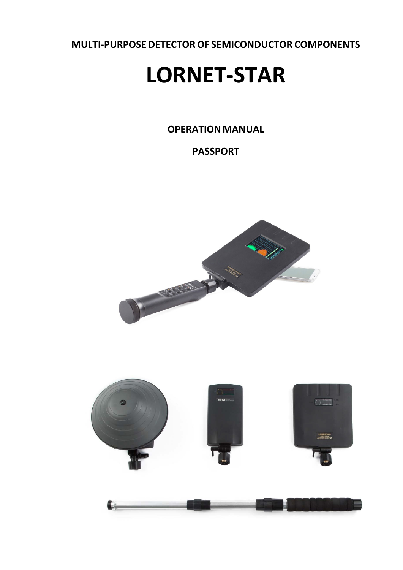**MULTI-PURPOSE DETECTOROF SEMICONDUCTOR COMPONENTS**

# **LORNET-STAR**

**OPERATION MANUAL** 

**PASSPORT**





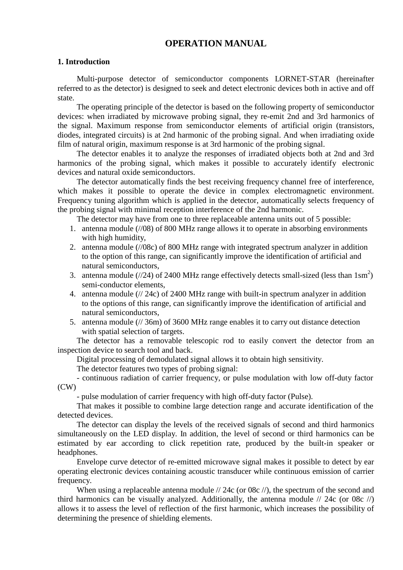# **OPERATION MANUAL**

#### **1. Introduction**

Multi-purpose detector of semiconductor components LORNET-STAR (hereinafter referred to as the detector) is designed to seek and detect electronic devices both in active and off state.

The operating principle of the detector is based on the following property of semiconductor devices: when irradiated by microwave probing signal, they re-emit 2nd and 3rd harmonics of the signal. Maximum response from semiconductor elements of artificial origin (transistors, diodes, integrated circuits) is at 2nd harmonic of the probing signal. And when irradiating oxide film of natural origin, maximum response is at 3rd harmonic of the probing signal.

The detector enables it to analyze the responses of irradiated objects both at 2nd and 3rd harmonics of the probing signal, which makes it possible to accurately identify electronic devices and natural oxide semiconductors.

The detector automatically finds the best receiving frequency channel free of interference, which makes it possible to operate the device in complex electromagnetic environment. Frequency tuning algorithm which is applied in the detector, automatically selects frequency of the probing signal with minimal reception interference of the 2nd harmonic.

The detector may have from one to three replaceable antenna units out of 5 possible:

- 1. antenna module (//08) of 800 MHz range allows it to operate in absorbing environments with high humidity,
- 2. antenna module (//08c) of 800 MHz range with integrated spectrum analyzer in addition to the option of this range, can significantly improve the identification of artificial and natural semiconductors,
- 3. antenna module ( $\frac{1}{24}$ ) of 2400 MHz range effectively detects small-sized (less than  $1\text{sm}^2$ ) semi-conductor elements,
- 4. antenna module (// 24c) of 2400 MHz range with built-in spectrum analyzer in addition to the options of this range, can significantly improve the identification of artificial and natural semiconductors,
- 5. antenna module (// 36m) of 3600 MHz range enables it to carry out distance detection with spatial selection of targets.

The detector has a removable telescopic rod to easily convert the detector from an inspection device to search tool and back.

Digital processing of demodulated signal allows it to obtain high sensitivity.

The detector features two types of probing signal:

- continuous radiation of carrier frequency, or pulse modulation with low off-duty factor (CW)

- pulse modulation of carrier frequency with high off-duty factor (Pulse).

That makes it possible to combine large detection range and accurate identification of the detected devices.

The detector can display the levels of the received signals of second and third harmonics simultaneously on the LED display. In addition, the level of second or third harmonics can be estimated by ear according to click repetition rate, produced by the built-in speaker or headphones.

Envelope curve detector of re-emitted microwave signal makes it possible to detect by ear operating electronic devices containing acoustic transducer while continuous emission of carrier frequency.

When using a replaceable antenna module // 24c (or 08c //), the spectrum of the second and third harmonics can be visually analyzed. Additionally, the antenna module  $\pi/24c$  (or 08c  $\pi/2$ ) allows it to assess the level of reflection of the first harmonic, which increases the possibility of determining the presence of shielding elements.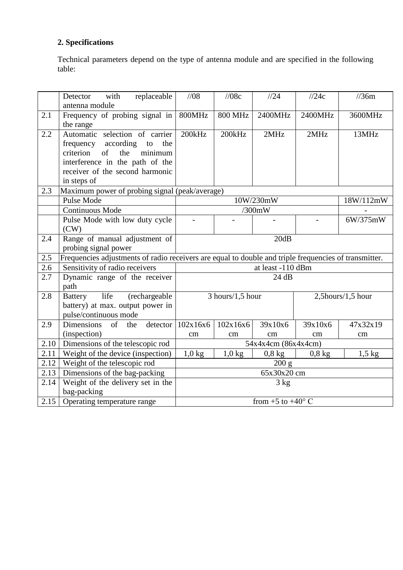# **2. Specifications**

Technical parameters depend on the type of antenna module and are specified in the following table:

|                  | replaceable<br>with<br>Detector<br>antenna module                                                                                                                                            | 1/08                                                                                                  | //08c              | 1/24                         | 1/24c    | $\frac{\pi}{36m}$ |
|------------------|----------------------------------------------------------------------------------------------------------------------------------------------------------------------------------------------|-------------------------------------------------------------------------------------------------------|--------------------|------------------------------|----------|-------------------|
| 2.1              | Frequency of probing signal in<br>the range                                                                                                                                                  | 800MHz                                                                                                | <b>800 MHz</b>     | 2400MHz                      | 2400MHz  | 3600MHz           |
| 2.2              | Automatic selection of carrier<br>frequency according<br>to<br>the<br>criterion<br>the<br>minimum<br>of<br>interference in the path of the<br>receiver of the second harmonic<br>in steps of | 200kHz                                                                                                | 200kHz             | 2MHz                         | 2MHz     | 13MHz             |
| 2.3              | Maximum power of probing signal (peak/average)                                                                                                                                               |                                                                                                       |                    |                              |          |                   |
|                  | Pulse Mode                                                                                                                                                                                   |                                                                                                       |                    | 10W/230mW                    |          | 18W/112mW         |
|                  | Continuous Mode                                                                                                                                                                              |                                                                                                       |                    | /300mW                       |          |                   |
|                  | Pulse Mode with low duty cycle<br>(CW)                                                                                                                                                       |                                                                                                       |                    |                              |          | 6W/375mW          |
| 2.4              | Range of manual adjustment of<br>probing signal power                                                                                                                                        |                                                                                                       |                    | 20dB                         |          |                   |
| $2.\overline{5}$ |                                                                                                                                                                                              | Frequencies adjustments of radio receivers are equal to double and triple frequencies of transmitter. |                    |                              |          |                   |
| 2.6              | Sensitivity of radio receivers                                                                                                                                                               | at least -110 dBm                                                                                     |                    |                              |          |                   |
| 2.7              | Dynamic range of the receiver<br>path                                                                                                                                                        | 24 dB                                                                                                 |                    |                              |          |                   |
| 2.8              | life<br><b>Battery</b><br>(rechargeable)<br>battery) at max. output power in<br>pulse/continuous mode                                                                                        |                                                                                                       | $3$ hours/1,5 hour |                              |          | 2,5hours/1,5 hour |
| 2.9              | Dimensions<br>of<br>the<br>detector                                                                                                                                                          | 102x16x6                                                                                              | 102x16x6           | 39x10x6                      | 39x10x6  | 47x32x19          |
|                  | (inspection)                                                                                                                                                                                 | cm                                                                                                    | cm                 | cm                           | cm       | cm                |
| 2.10             | Dimensions of the telescopic rod                                                                                                                                                             | 54x4x4cm (86x4x4cm)                                                                                   |                    |                              |          |                   |
| 2.11             | Weight of the device (inspection)                                                                                                                                                            | $1,0$ kg                                                                                              | $1,0$ kg           | $0.8 \text{ kg}$             | $0,8$ kg | $1,5$ kg          |
| 2.12             | Weight of the telescopic rod                                                                                                                                                                 |                                                                                                       |                    | 200 g                        |          |                   |
| 2.13             | Dimensions of the bag-packing                                                                                                                                                                | 65x30x20 cm                                                                                           |                    |                              |          |                   |
| 2.14             | Weight of the delivery set in the<br>bag-packing                                                                                                                                             | 3 kg                                                                                                  |                    |                              |          |                   |
| 2.15             | Operating temperature range                                                                                                                                                                  |                                                                                                       |                    | from $+5$ to $+40^{\circ}$ C |          |                   |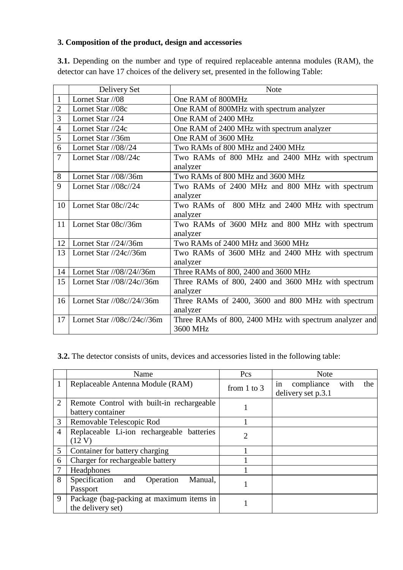# **3. Composition of the product, design and accessories**

**3.1.** Depending on the number and type of required replaceable antenna modules (RAM), the detector can have 17 choices of the delivery set, presented in the following Table:

|                | Delivery Set                                  | <b>Note</b>                                            |
|----------------|-----------------------------------------------|--------------------------------------------------------|
| $\mathbf{1}$   | Lornet Star //08                              | One RAM of 800MHz                                      |
| $\overline{2}$ | Lornet Star //08c                             | One RAM of 800MHz with spectrum analyzer               |
| 3              | Lornet Star //24                              | One RAM of 2400 MHz                                    |
| $\overline{4}$ | Lornet Star //24c                             | One RAM of 2400 MHz with spectrum analyzer             |
| 5              | Lornet Star //36m                             | One RAM of 3600 MHz                                    |
| 6              | Lornet Star $/$ /08 $/$ /24                   | Two RAMs of 800 MHz and 2400 MHz                       |
| $\overline{7}$ | Lornet Star $1/08/24c$                        | Two RAMs of 800 MHz and 2400 MHz with spectrum         |
|                |                                               | analyzer                                               |
| 8              | Lornet Star $1/08/36m$                        | Two RAMs of 800 MHz and 3600 MHz                       |
| 9              | Lornet Star //08c//24                         | Two RAMs of 2400 MHz and 800 MHz with spectrum         |
|                |                                               | analyzer                                               |
| 10             | Lornet Star 08c//24c                          | Two RAMs of 800 MHz and 2400 MHz with spectrum         |
|                |                                               | analyzer                                               |
| 11             | Lornet Star 08c//36m                          | Two RAMs of 3600 MHz and 800 MHz with spectrum         |
|                |                                               | analyzer                                               |
| 12             | Lornet Star //24//36m                         | Two RAMs of 2400 MHz and 3600 MHz                      |
| 13             | Lornet Star //24c//36m                        | Two RAMs of 3600 MHz and 2400 MHz with spectrum        |
|                |                                               | analyzer                                               |
| 14             | Lornet Star //08//24//36m                     | Three RAMs of 800, 2400 and 3600 MHz                   |
| 15             | Lornet Star $\frac{1}{08}{\frac{24c}{36m}}$   | Three RAMs of 800, 2400 and 3600 MHz with spectrum     |
|                |                                               | analyzer                                               |
| 16             | Lornet Star //08c//24//36m                    | Three RAMs of 2400, 3600 and 800 MHz with spectrum     |
|                |                                               | analyzer                                               |
| 17             | Lornet Star $\frac{\log(\frac{24c}{36m})}{2}$ | Three RAMs of 800, 2400 MHz with spectrum analyzer and |
|                |                                               | 3600 MHz                                               |

**3.2.** The detector consists of units, devices and accessories listed in the following table:

|                | Name                                         | Pcs             | <b>Note</b>                     |
|----------------|----------------------------------------------|-----------------|---------------------------------|
|                | Replaceable Antenna Module (RAM)             | from $1$ to $3$ | compliance<br>the<br>with<br>in |
|                |                                              |                 | delivery set p.3.1              |
| 2              | Remote Control with built-in rechargeable    |                 |                                 |
|                | battery container                            |                 |                                 |
| 3              | Removable Telescopic Rod                     |                 |                                 |
| $\overline{4}$ | Replaceable Li-ion rechargeable batteries    | 2               |                                 |
|                | (12 V)                                       |                 |                                 |
| 5              | Container for battery charging               |                 |                                 |
| 6              | Charger for rechargeable battery             |                 |                                 |
|                | Headphones                                   |                 |                                 |
| 8              | Specification<br>and<br>Operation<br>Manual, |                 |                                 |
|                | Passport                                     |                 |                                 |
| 9              | Package (bag-packing at maximum items in     |                 |                                 |
|                | the delivery set)                            |                 |                                 |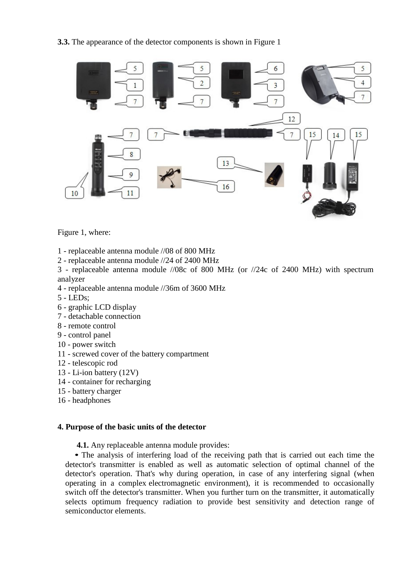**3.3.** The appearance of the detector components is shown in Figure 1



Figure 1, where:

- 1 replaceable antenna module //08 of 800 MHz
- 2 replaceable antenna module //24 of 2400 MHz

3 - replaceable antenna module //08c of 800 MHz (or //24c of 2400 MHz) with spectrum analyzer

- 4 replaceable antenna module //36m of 3600 MHz
- 5 LEDs;
- 6 graphic LCD display
- 7 detachable connection
- 8 remote control
- 9 control panel
- 10 power switch
- 11 screwed cover of the battery compartment
- 12 telescopic rod
- 13 Li-ion battery (12V)
- 14 container for recharging
- 15 battery charger
- 16 headphones

#### **4. Purpose of the basic units of the detector**

**4.1.** Any replaceable antenna module provides:

• The analysis of interfering load of the receiving path that is carried out each time the detector's transmitter is enabled as well as automatic selection of optimal channel of the detector's operation. That's why during operation, in case of any interfering signal (when operating in a complex electromagnetic environment), it is recommended to occasionally switch off the detector's transmitter. When you further turn on the transmitter, it automatically selects optimum frequency radiation to provide best sensitivity and detection range of semiconductor elements.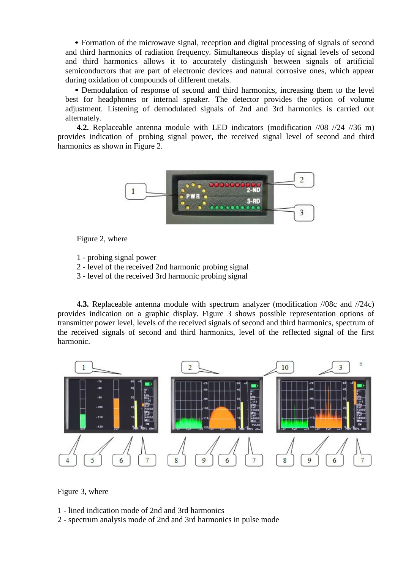• Formation of the microwave signal, reception and digital processing of signals of second and third harmonics of radiation frequency. Simultaneous display of signal levels of second and third harmonics allows it to accurately distinguish between signals of artificial semiconductors that are part of electronic devices and natural corrosive ones, which appear during oxidation of compounds of different metals.

• Demodulation of response of second and third harmonics, increasing them to the level best for headphones or internal speaker. The detector provides the option of volume adjustment. Listening of demodulated signals of 2nd and 3rd harmonics is carried out alternately.

**4.2.** Replaceable antenna module with LED indicators (modification //08 //24 //36 m) provides indication of probing signal power, the received signal level of second and third harmonics as shown in Figure 2.



Figure 2, where

1 - probing signal power

- 2 level of the received 2nd harmonic probing signal
- 3 level of the received 3rd harmonic probing signal

**4.3.** Replaceable antenna module with spectrum analyzer (modification //08c and //24c) provides indication on a graphic display. Figure 3 shows possible representation options of transmitter power level, levels of the received signals of second and third harmonics, spectrum of the received signals of second and third harmonics, level of the reflected signal of the first harmonic.



Figure 3, where

- 1 lined indication mode of 2nd and 3rd harmonics
- 2 spectrum analysis mode of 2nd and 3rd harmonics in pulse mode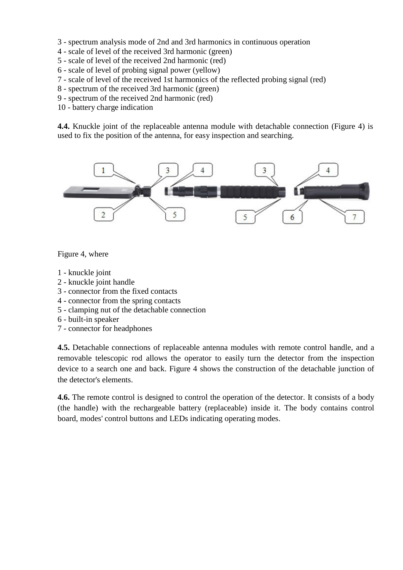- 3 spectrum analysis mode of 2nd and 3rd harmonics in continuous operation
- 4 scale of level of the received 3rd harmonic (green)
- 5 scale of level of the received 2nd harmonic (red)
- 6 scale of level of probing signal power (yellow)
- 7 scale of level of the received 1st harmonics of the reflected probing signal (red)
- 8 spectrum of the received 3rd harmonic (green)
- 9 spectrum of the received 2nd harmonic (red)
- 10 battery charge indication

**4.4.** Knuckle joint of the replaceable antenna module with detachable connection (Figure 4) is used to fix the position of the antenna, for easy inspection and searching.



Figure 4, where

- 1 knuckle joint
- 2 knuckle joint handle
- 3 connector from the fixed contacts
- 4 connector from the spring contacts
- 5 clamping nut of the detachable connection
- 6 built-in speaker
- 7 connector for headphones

**4.5.** Detachable connections of replaceable antenna modules with remote control handle, and a removable telescopic rod allows the operator to easily turn the detector from the inspection device to a search one and back. Figure 4 shows the construction of the detachable junction of the detector's elements.

**4.6.** The remote control is designed to control the operation of the detector. It consists of a body (the handle) with the rechargeable battery (replaceable) inside it. The body contains control board, modes' control buttons and LEDs indicating operating modes.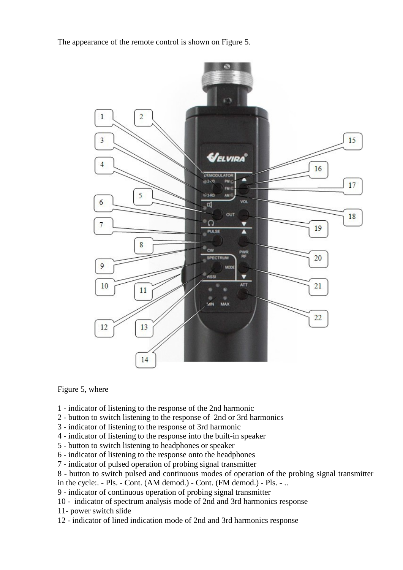The appearance of the remote control is shown on Figure 5.



#### Figure 5, where

- 1 indicator of listening to the response of the 2nd harmonic
- 2 button to switch listening to the response of 2nd or 3rd harmonics
- 3 indicator of listening to the response of 3rd harmonic
- 4 indicator of listening to the response into the built-in speaker
- 5 button to switch listening to headphones or speaker
- 6 indicator of listening to the response onto the headphones
- 7 indicator of pulsed operation of probing signal transmitter
- 8 button to switch pulsed and continuous modes of operation of the probing signal transmitter
- in the cycle:. Pls. Cont. (AM demod.) Cont. (FM demod.) Pls. ..
- 9 indicator of continuous operation of probing signal transmitter
- 10 indicator of spectrum analysis mode of 2nd and 3rd harmonics response
- 11- power switch slide
- 12 indicator of lined indication mode of 2nd and 3rd harmonics response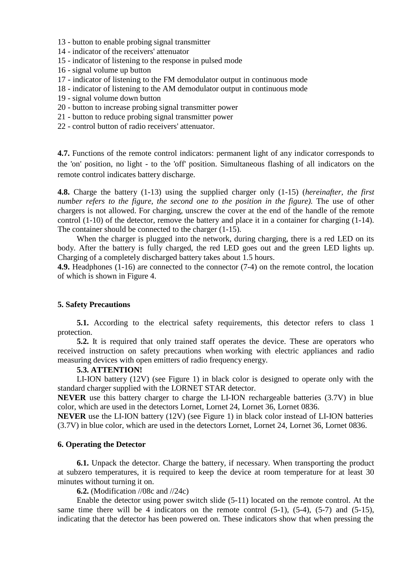- 13 button to enable probing signal transmitter
- 14 indicator of the receivers' attenuator
- 15 indicator of listening to the response in pulsed mode
- 16 signal volume up button
- 17 indicator of listening to the FM demodulator output in continuous mode
- 18 indicator of listening to the AM demodulator output in continuous mode
- 19 signal volume down button
- 20 button to increase probing signal transmitter power
- 21 button to reduce probing signal transmitter power
- 22 control button of radio receivers' attenuator.

**4.7.** Functions of the remote control indicators: permanent light of any indicator corresponds to the 'on' position, no light - to the 'off' position. Simultaneous flashing of all indicators on the remote control indicates battery discharge.

**4.8.** Charge the battery (1-13) using the supplied charger only (1-15) (*hereinafter, the first number refers to the figure, the second one to the position in the figure)*. The use of other chargers is not allowed. For charging, unscrew the cover at the end of the handle of the remote control (1-10) of the detector, remove the battery and place it in a container for charging (1-14). The container should be connected to the charger (1-15).

When the charger is plugged into the network, during charging, there is a red LED on its body. After the battery is fully charged, the red LED goes out and the green LED lights up. Charging of a completely discharged battery takes about 1.5 hours.

**4.9.** Headphones (1-16) are connected to the connector (7-4) on the remote control, the location of which is shown in Figure 4.

#### **5. Safety Precautions**

**5.1.** According to the electrical safety requirements, this detector refers to class 1 protection.

**5.2.** It is required that only trained staff operates the device. These are operators who received instruction on safety precautions when working with electric appliances and radio measuring devices with open emitters of radio frequency energy.

#### **5.3. ATTENTION!**

LI-ION battery (12V) (see Figure 1) in black color is designed to operate only with the standard charger supplied with the LORNET STAR detector.

**NEVER** use this battery charger to charge the LI-ION rechargeable batteries (3.7V) in blue color, which are used in the detectors Lornet, Lornet 24, Lornet 36, Lornet 0836.

**NEVER** use the LI-ION battery (12V) (see Figure 1) in black color instead of LI-ION batteries (3.7V) in blue color, which are used in the detectors Lornet, Lornet 24, Lornet 36, Lornet 0836.

#### **6. Operating the Detector**

**6.1.** Unpack the detector. Charge the battery, if necessary. When transporting the product at subzero temperatures, it is required to keep the device at room temperature for at least 30 minutes without turning it on.

**6.2.** (Modification //08c and //24c)

Enable the detector using power switch slide (5-11) located on the remote control. At the same time there will be 4 indicators on the remote control  $(5-1)$ ,  $(5-4)$ ,  $(5-7)$  and  $(5-15)$ , indicating that the detector has been powered on. These indicators show that when pressing the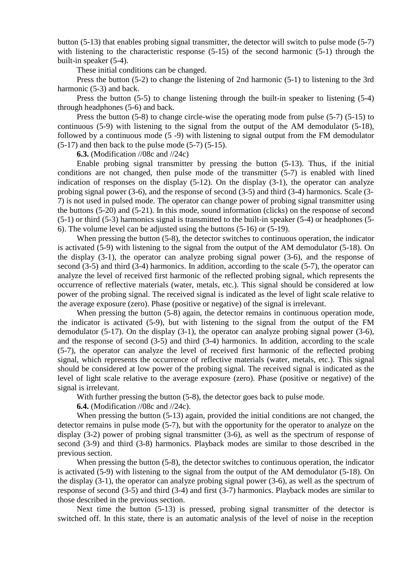button (5-13) that enables probing signal transmitter, the detector will switch to pulse mode (5-7) with listening to the characteristic response  $(5-15)$  of the second harmonic  $(5-1)$  through the built-in speaker (5-4).

These initial conditions can be changed.

Press the button (5-2) to change the listening of 2nd harmonic (5-1) to listening to the 3rd harmonic  $(5-3)$  and back.

Press the button (5-5) to change listening through the built-in speaker to listening (5-4) through headphones (5-6) and back.

Press the button (5-8) to change circle-wise the operating mode from pulse (5-7) (5-15) to continuous (5-9) with listening to the signal from the output of the AM demodulator (5-18), followed by a continuous mode (5 -9) with listening to signal output from the FM demodulator  $(5-17)$  and then back to the pulse mode  $(5-7)$   $(5-15)$ .

**6.3.** (Modification //08c and //24c)

Enable probing signal transmitter by pressing the button (5-13). Thus, if the initial conditions are not changed, then pulse mode of the transmitter (5-7) is enabled with lined indication of responses on the display (5-12). On the display (3-1), the operator can analyze probing signal power (3-6), and the response of second (3-5) and third (3-4) harmonics. Scale (3- 7) is not used in pulsed mode. The operator can change power of probing signal transmitter using the buttons (5-20) and (5-21). In this mode, sound information (clicks) on the response of second (5-1) or third (5-3) harmonics signal is transmitted to the built-in speaker (5-4) or headphones (5- 6). The volume level can be adjusted using the buttons (5-16) or (5-19).

When pressing the button (5-8), the detector switches to continuous operation, the indicator is activated (5-9) with listening to the signal from the output of the AM demodulator (5-18). On the display (3-1), the operator can analyze probing signal power (3-6), and the response of second (3-5) and third (3-4) harmonics. In addition, according to the scale (5-7), the operator can analyze the level of received first harmonic of the reflected probing signal, which represents the occurrence of reflective materials (water, metals, etc.). This signal should be considered at low power of the probing signal. The received signal is indicated as the level of light scale relative to the average exposure (zero). Phase (positive or negative) of the signal is irrelevant.

When pressing the button  $(5-8)$  again, the detector remains in continuous operation mode, the indicator is activated (5-9), but with listening to the signal from the output of the FM demodulator (5-17). On the display (3-1), the operator can analyze probing signal power (3-6), and the response of second (3-5) and third (3-4) harmonics. In addition, according to the scale (5-7), the operator can analyze the level of received first harmonic of the reflected probing signal, which represents the occurrence of reflective materials (water, metals, etc.). This signal should be considered at low power of the probing signal. The received signal is indicated as the level of light scale relative to the average exposure (zero). Phase (positive or negative) of the signal is irrelevant.

With further pressing the button  $(5-8)$ , the detector goes back to pulse mode.

**6.4.** (Modification //08c and //24c).

When pressing the button (5-13) again, provided the initial conditions are not changed, the detector remains in pulse mode (5-7), but with the opportunity for the operator to analyze on the display (3-2) power of probing signal transmitter (3-6), as well as the spectrum of response of second (3-9) and third (3-8) harmonics. Playback modes are similar to those described in the previous section.

When pressing the button (5-8), the detector switches to continuous operation, the indicator is activated (5-9) with listening to the signal from the output of the AM demodulator (5-18). On the display (3-1), the operator can analyze probing signal power (3-6), as well as the spectrum of response of second (3-5) and third (3-4) and first (3-7) harmonics. Playback modes are similar to those described in the previous section.

Next time the button (5-13) is pressed, probing signal transmitter of the detector is switched off. In this state, there is an automatic analysis of the level of noise in the reception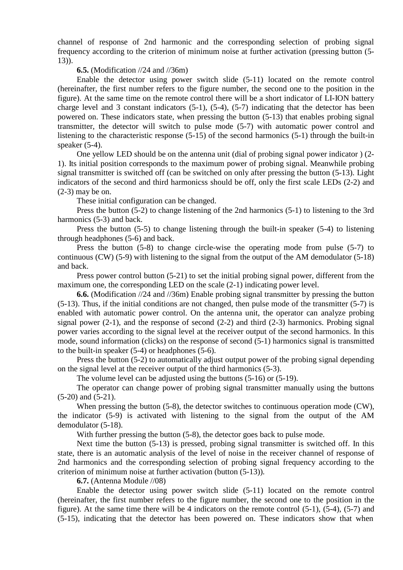channel of response of 2nd harmonic and the corresponding selection of probing signal frequency according to the criterion of minimum noise at further activation (pressing button (5- 13)).

**6.5.** (Modification //24 and //36m)

Enable the detector using power switch slide (5-11) located on the remote control (hereinafter, the first number refers to the figure number, the second one to the position in the figure). At the same time on the remote control there will be a short indicator of LI-ION battery charge level and 3 constant indicators (5-1), (5-4), (5-7) indicating that the detector has been powered on. These indicators state, when pressing the button (5-13) that enables probing signal transmitter, the detector will switch to pulse mode (5-7) with automatic power control and listening to the characteristic response (5-15) of the second harmonics (5-1) through the built-in speaker (5-4).

One yellow LED should be on the antenna unit (dial of probing signal power indicator ) (2- 1). Its initial position corresponds to the maximum power of probing signal. Meanwhile probing signal transmitter is switched off (can be switched on only after pressing the button (5-13). Light indicators of the second and third harmonicss should be off, only the first scale LEDs (2-2) and (2-3) may be on.

These initial configuration can be changed.

Press the button (5-2) to change listening of the 2nd harmonics (5-1) to listening to the 3rd harmonics (5-3) and back.

Press the button (5-5) to change listening through the built-in speaker (5-4) to listening through headphones (5-6) and back.

Press the button (5-8) to change circle-wise the operating mode from pulse (5-7) to continuous (CW) (5-9) with listening to the signal from the output of the AM demodulator (5-18) and back.

Press power control button (5-21) to set the initial probing signal power, different from the maximum one, the corresponding LED on the scale (2-1) indicating power level.

**6.6.** (Modification //24 and //36m) Enable probing signal transmitter by pressing the button (5-13). Thus, if the initial conditions are not changed, then pulse mode of the transmitter (5-7) is enabled with automatic power control. On the antenna unit, the operator can analyze probing signal power  $(2-1)$ , and the response of second  $(2-2)$  and third  $(2-3)$  harmonics. Probing signal power varies according to the signal level at the receiver output of the second harmonics. In this mode, sound information (clicks) on the response of second (5-1) harmonics signal is transmitted to the built-in speaker (5-4) or headphones (5-6).

Press the button (5-2) to automatically adjust output power of the probing signal depending on the signal level at the receiver output of the third harmonics (5-3).

The volume level can be adjusted using the buttons (5-16) or (5-19).

The operator can change power of probing signal transmitter manually using the buttons (5-20) and (5-21).

When pressing the button (5-8), the detector switches to continuous operation mode (CW), the indicator (5-9) is activated with listening to the signal from the output of the AM demodulator (5-18).

With further pressing the button (5-8), the detector goes back to pulse mode.

Next time the button (5-13) is pressed, probing signal transmitter is switched off. In this state, there is an automatic analysis of the level of noise in the receiver channel of response of 2nd harmonics and the corresponding selection of probing signal frequency according to the criterion of minimum noise at further activation (button (5-13)).

**6.7.** (Antenna Module //08)

Enable the detector using power switch slide (5-11) located on the remote control (hereinafter, the first number refers to the figure number, the second one to the position in the figure). At the same time there will be 4 indicators on the remote control (5-1), (5-4), (5-7) and (5-15), indicating that the detector has been powered on. These indicators show that when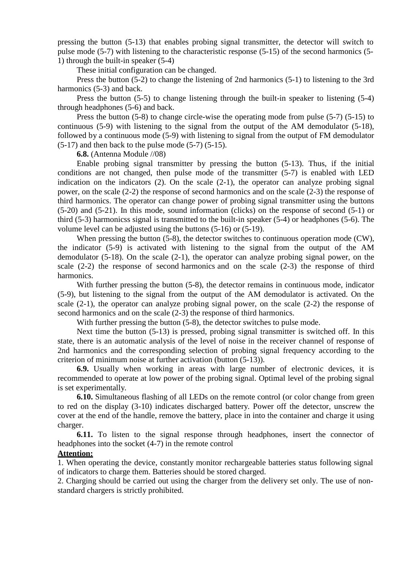pressing the button (5-13) that enables probing signal transmitter, the detector will switch to pulse mode (5-7) with listening to the characteristic response (5-15) of the second harmonics (5- 1) through the built-in speaker (5-4)

These initial configuration can be changed.

Press the button (5-2) to change the listening of 2nd harmonics (5-1) to listening to the 3rd harmonics  $(5-3)$  and back.

Press the button (5-5) to change listening through the built-in speaker to listening (5-4) through headphones (5-6) and back.

Press the button (5-8) to change circle-wise the operating mode from pulse (5-7) (5-15) to continuous (5-9) with listening to the signal from the output of the AM demodulator (5-18), followed by a continuous mode (5-9) with listening to signal from the output of FM demodulator  $(5-17)$  and then back to the pulse mode  $(5-7)$   $(5-15)$ .

**6.8.** (Antenna Module //08)

Enable probing signal transmitter by pressing the button (5-13). Thus, if the initial conditions are not changed, then pulse mode of the transmitter (5-7) is enabled with LED indication on the indicators (2). On the scale (2-1), the operator can analyze probing signal power, on the scale (2-2) the response of second harmonics and on the scale (2-3) the response of third harmonics. The operator can change power of probing signal transmitter using the buttons (5-20) and (5-21). In this mode, sound information (clicks) on the response of second (5-1) or third (5-3) harmonicss signal is transmitted to the built-in speaker (5-4) or headphones (5-6). The volume level can be adjusted using the buttons (5-16) or (5-19).

When pressing the button (5-8), the detector switches to continuous operation mode (CW), the indicator (5-9) is activated with listening to the signal from the output of the AM demodulator (5-18). On the scale (2-1), the operator can analyze probing signal power, on the scale (2-2) the response of second harmonics and on the scale (2-3) the response of third harmonics.

With further pressing the button (5-8), the detector remains in continuous mode, indicator (5-9), but listening to the signal from the output of the AM demodulator is activated. On the scale (2-1), the operator can analyze probing signal power, on the scale (2-2) the response of second harmonics and on the scale (2-3) the response of third harmonics.

With further pressing the button (5-8), the detector switches to pulse mode.

Next time the button (5-13) is pressed, probing signal transmitter is switched off. In this state, there is an automatic analysis of the level of noise in the receiver channel of response of 2nd harmonics and the corresponding selection of probing signal frequency according to the criterion of minimum noise at further activation (button (5-13)).

**6.9.** Usually when working in areas with large number of electronic devices, it is recommended to operate at low power of the probing signal. Optimal level of the probing signal is set experimentally.

**6.10.** Simultaneous flashing of all LEDs on the remote control (or color change from green to red on the display (3-10) indicates discharged battery. Power off the detector, unscrew the cover at the end of the handle, remove the battery, place in into the container and charge it using charger.

**6.11.** To listen to the signal response through headphones, insert the connector of headphones into the socket (4-7) in the remote control

#### **Attention:**

1. When operating the device, constantly monitor rechargeable batteries status following signal of indicators to charge them. Batteries should be stored charged.

2. Charging should be carried out using the charger from the delivery set only. The use of nonstandard chargers is strictly prohibited.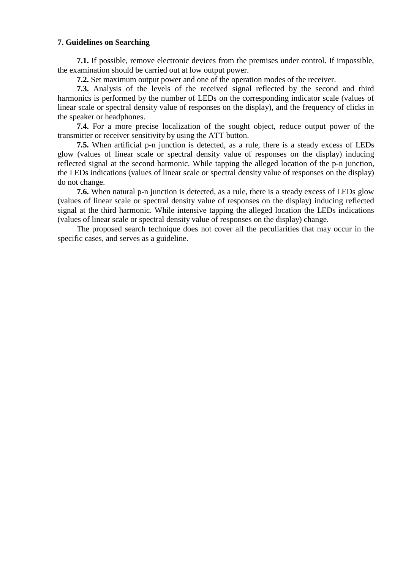#### **7. Guidelines on Searching**

**7.1.** If possible, remove electronic devices from the premises under control. If impossible, the examination should be carried out at low output power.

**7.2.** Set maximum output power and one of the operation modes of the receiver.

**7.3.** Analysis of the levels of the received signal reflected by the second and third harmonics is performed by the number of LEDs on the corresponding indicator scale (values of linear scale or spectral density value of responses on the display), and the frequency of clicks in the speaker or headphones.

**7.4.** For a more precise localization of the sought object, reduce output power of the transmitter or receiver sensitivity by using the ATT button.

**7.5.** When artificial p-n junction is detected, as a rule, there is a steady excess of LEDs glow (values of linear scale or spectral density value of responses on the display) inducing reflected signal at the second harmonic. While tapping the alleged location of the p-n junction, the LEDs indications (values of linear scale or spectral density value of responses on the display) do not change.

**7.6.** When natural p-n junction is detected, as a rule, there is a steady excess of LEDs glow (values of linear scale or spectral density value of responses on the display) inducing reflected signal at the third harmonic. While intensive tapping the alleged location the LEDs indications (values of linear scale or spectral density value of responses on the display) change.

The proposed search technique does not cover all the peculiarities that may occur in the specific cases, and serves as a guideline.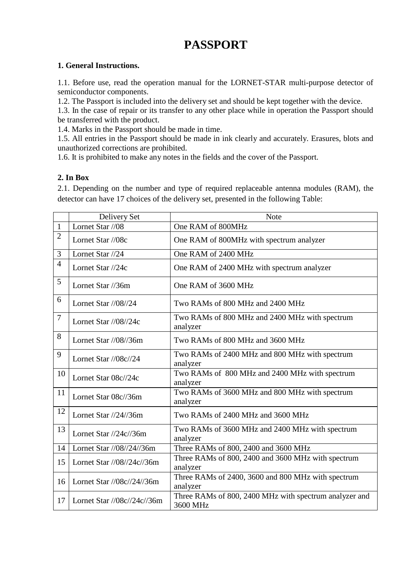# **PASSPORT**

## **1. General Instructions.**

1.1. Before use, read the operation manual for the LORNET-STAR multi-purpose detector of semiconductor components.

1.2. The Passport is included into the delivery set and should be kept together with the device.

1.3. In the case of repair or its transfer to any other place while in operation the Passport should be transferred with the product.

1.4. Marks in the Passport should be made in time.

1.5. All entries in the Passport should be made in ink clearly and accurately. Erasures, blots and unauthorized corrections are prohibited.

1.6. It is prohibited to make any notes in the fields and the cover of the Passport.

### **2. In Box**

2.1. Depending on the number and type of required replaceable antenna modules (RAM), the detector can have 17 choices of the delivery set, presented in the following Table:

|                | Delivery Set                                  | <b>Note</b>                                                        |
|----------------|-----------------------------------------------|--------------------------------------------------------------------|
| $\mathbf{1}$   | Lornet Star //08                              | One RAM of 800MHz                                                  |
| $\overline{2}$ | Lornet Star //08c                             | One RAM of 800MHz with spectrum analyzer                           |
| 3              | Lornet Star //24                              | One RAM of 2400 MHz                                                |
| $\overline{4}$ | Lornet Star //24c                             | One RAM of 2400 MHz with spectrum analyzer                         |
| 5              | Lornet Star //36m                             | One RAM of 3600 MHz                                                |
| 6              | Lornet Star $\frac{1}{08}{\frac{24}{24}}$     | Two RAMs of 800 MHz and 2400 MHz                                   |
| $\tau$         | Lornet Star $1/08/24c$                        | Two RAMs of 800 MHz and 2400 MHz with spectrum<br>analyzer         |
| 8              | Lornet Star $1/08/36m$                        | Two RAMs of 800 MHz and 3600 MHz                                   |
| 9              | Lornet Star //08c//24                         | Two RAMs of 2400 MHz and 800 MHz with spectrum<br>analyzer         |
| 10             | Lornet Star 08c//24c                          | Two RAMs of 800 MHz and 2400 MHz with spectrum<br>analyzer         |
| 11             | Lornet Star 08c//36m                          | Two RAMs of 3600 MHz and 800 MHz with spectrum<br>analyzer         |
| 12             | Lornet Star $\frac{1}{24}{36m}$               | Two RAMs of 2400 MHz and 3600 MHz                                  |
| 13             | Lornet Star $\frac{1}{24c}{36m}$              | Two RAMs of 3600 MHz and 2400 MHz with spectrum<br>analyzer        |
| 14             | Lornet Star //08//24//36m                     | Three RAMs of 800, 2400 and 3600 MHz                               |
| 15             | Lornet Star //08//24c//36m                    | Three RAMs of 800, 2400 and 3600 MHz with spectrum<br>analyzer     |
| 16             | Lornet Star //08c//24//36m                    | Three RAMs of 2400, 3600 and 800 MHz with spectrum<br>analyzer     |
| 17             | Lornet Star $\frac{\log(\frac{24c}{36m})}{2}$ | Three RAMs of 800, 2400 MHz with spectrum analyzer and<br>3600 MHz |